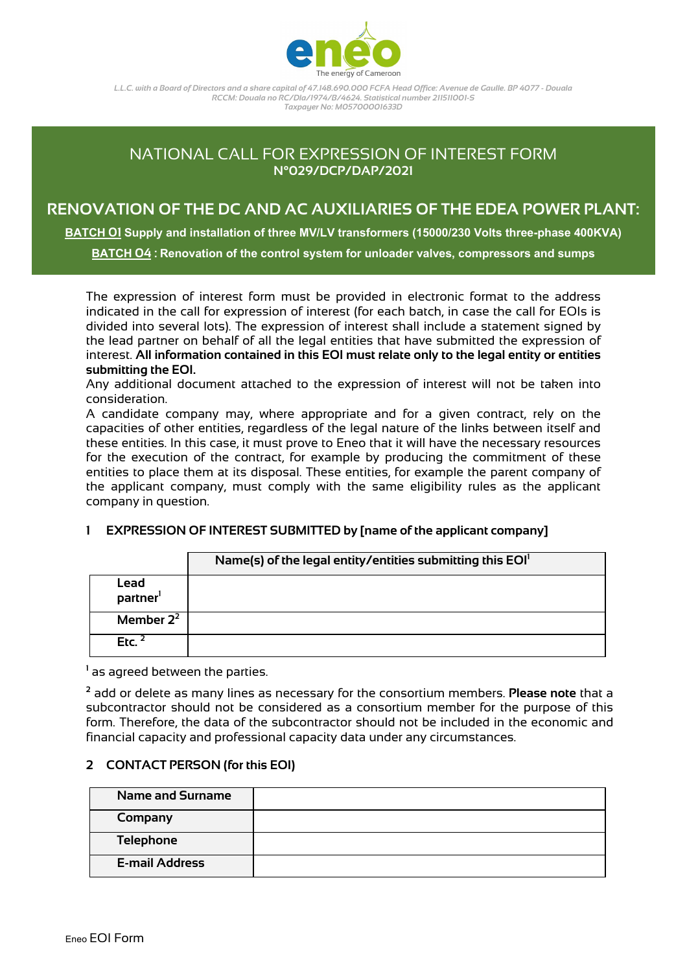

# NATIONAL CALL FOR EXPRESSION OF INTEREST FORM **N°029/DCP/DAP/2021**

# **RENOVATION OF THE DC AND AC AUXILIARIES OF THE EDEA POWER PLANT:**

**BATCH 01 Supply and installation of three MV/LV transformers (15000/230 Volts three-phase 400KVA)**

**BATCH 04 : Renovation of the control system for unloader valves, compressors and sumps**

The expression of interest form must be provided in electronic format to the address indicated in the call for expression of interest (for each batch, in case the call for EOIs is divided into several lots). The expression of interest shall include a statement signed by the lead partner on behalf of all the legal entities that have submitted the expression of interest. **All information contained in this EOI must relate only to the legal entity or entities submitting the EOI.**

Any additional document attached to the expression of interest will not be taken into consideration.

A candidate company may, where appropriate and for a given contract, rely on the capacities of other entities, regardless of the legal nature of the links between itself and these entities. In this case, it must prove to Eneo that it will have the necessary resources for the execution of the contract, for example by producing the commitment of these entities to place them at its disposal. These entities, for example the parent company of the applicant company, must comply with the same eligibility rules as the applicant company in question.

### **1 EXPRESSION OF INTEREST SUBMITTED by [name of the applicant company]**

|                              | Name(s) of the legal entity/entities submitting this EOI <sup>1</sup> |
|------------------------------|-----------------------------------------------------------------------|
| Lead<br>partner <sup>1</sup> |                                                                       |
| Member $2^2$                 |                                                                       |
| Etc. $2$                     |                                                                       |

**<sup>1</sup>** as agreed between the parties.

**<sup>2</sup>** add or delete as many lines as necessary for the consortium members. **Please note** that a subcontractor should not be considered as a consortium member for the purpose of this form. Therefore, the data of the subcontractor should not be included in the economic and financial capacity and professional capacity data under any circumstances.

### **2 CONTACT PERSON (for this EOI)**

| <b>Name and Surname</b> |  |
|-------------------------|--|
| Company                 |  |
| <b>Telephone</b>        |  |
| <b>E-mail Address</b>   |  |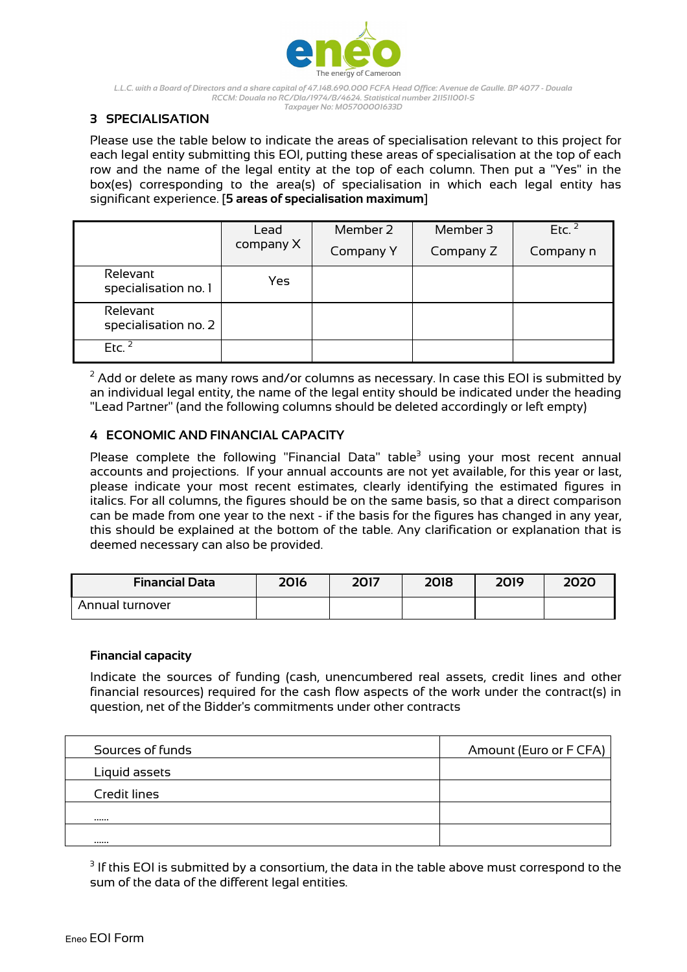

# **3 SPECIALISATION**

Please use the table below to indicate the areas of specialisation relevant to this project for each legal entity submitting this EOI, putting these areas of specialisation at the top of each row and the name of the legal entity at the top of each column. Then put a "Yes" in the box(es) corresponding to the area(s) of specialisation in which each legal entity has significant experience. [**5 areas of specialisation maximum**]

|                                  | Lead      | Member 2  | Member 3  | Etc. $2$  |  |
|----------------------------------|-----------|-----------|-----------|-----------|--|
|                                  | company X | Company Y | Company Z | Company n |  |
| Relevant<br>specialisation no. 1 | Yes       |           |           |           |  |
| Relevant<br>specialisation no. 2 |           |           |           |           |  |
| Etc. <sup>2</sup>                |           |           |           |           |  |

 $2$  Add or delete as many rows and/or columns as necessary. In case this EOI is submitted by an individual legal entity, the name of the legal entity should be indicated under the heading "Lead Partner" (and the following columns should be deleted accordingly or left empty)

# **4 ECONOMIC AND FINANCIAL CAPACITY**

Please complete the following "Financial Data" table $3$  using your most recent annual accounts and projections. If your annual accounts are not yet available, for this year or last, please indicate your most recent estimates, clearly identifying the estimated figures in italics. For all columns, the figures should be on the same basis, so that a direct comparison can be made from one year to the next - if the basis for the figures has changed in any year, this should be explained at the bottom of the table. Any clarification or explanation that is deemed necessary can also be provided.

| <b>Financial Data</b> | 2016 | 2017 | 2018 | 2019 | 2020 |
|-----------------------|------|------|------|------|------|
| Annual turnover       |      |      |      |      |      |

### **Financial capacity**

Indicate the sources of funding (cash, unencumbered real assets, credit lines and other financial resources) required for the cash flow aspects of the work under the contract(s) in question, net of the Bidder's commitments under other contracts

| Sources of funds | Amount (Euro or F CFA) |
|------------------|------------------------|
| Liquid assets    |                        |
| Credit lines     |                        |
|                  |                        |
|                  |                        |

 $3$  If this EOI is submitted by a consortium, the data in the table above must correspond to the sum of the data of the different legal entities.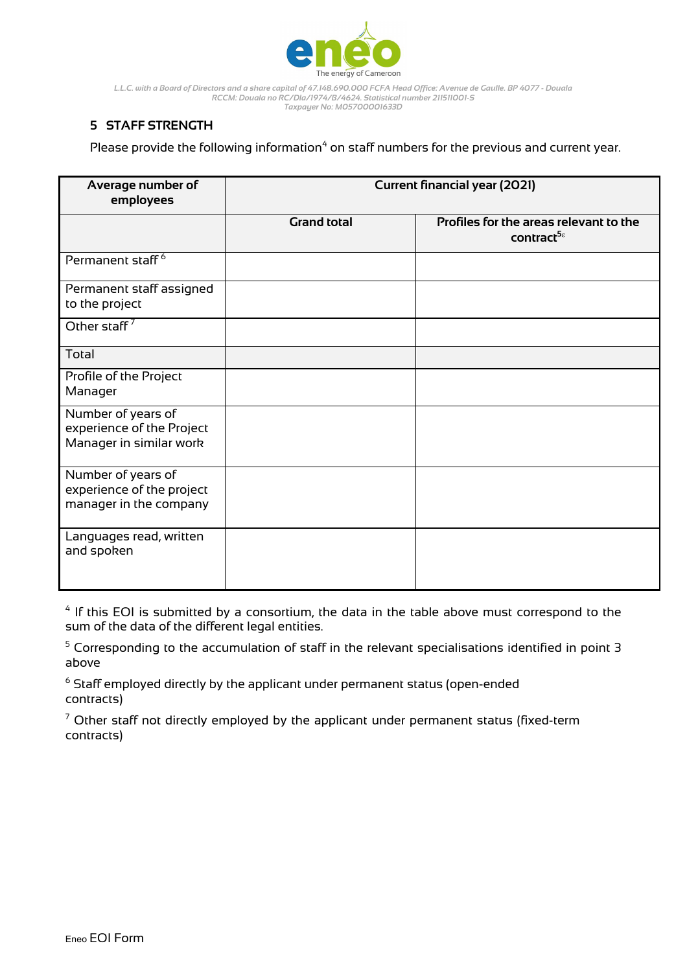

# **5 STAFF STRENGTH**

Please provide the following information<sup>4</sup> on staff numbers for the previous and current year.

| Average number of<br>employees                                             | <b>Current financial year (2021)</b> |                                                                  |  |  |
|----------------------------------------------------------------------------|--------------------------------------|------------------------------------------------------------------|--|--|
|                                                                            | <b>Grand total</b>                   | Profiles for the areas relevant to the<br>contract <sup>58</sup> |  |  |
| Permanent staff <sup>6</sup>                                               |                                      |                                                                  |  |  |
| Permanent staff assigned<br>to the project                                 |                                      |                                                                  |  |  |
| Other staff <sup>7</sup>                                                   |                                      |                                                                  |  |  |
| Total                                                                      |                                      |                                                                  |  |  |
| Profile of the Project<br>Manager                                          |                                      |                                                                  |  |  |
| Number of years of<br>experience of the Project<br>Manager in similar work |                                      |                                                                  |  |  |
| Number of years of<br>experience of the project<br>manager in the company  |                                      |                                                                  |  |  |
| Languages read, written<br>and spoken                                      |                                      |                                                                  |  |  |

 $4$  If this EOI is submitted by a consortium, the data in the table above must correspond to the sum of the data of the different legal entities.

<sup>5</sup> Corresponding to the accumulation of staff in the relevant specialisations identified in point 3 above

 $6$  Staff employed directly by the applicant under permanent status (open-ended contracts)

 $7$  Other staff not directly employed by the applicant under permanent status (fixed-term contracts)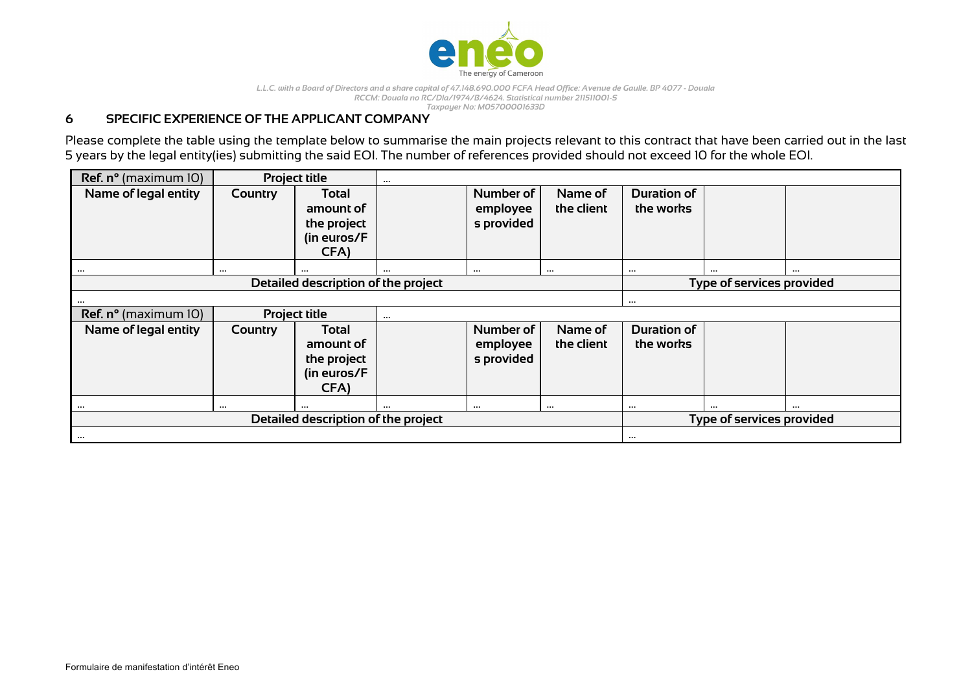

## **6 SPECIFIC EXPERIENCE OF THE APPLICANT COMPANY**

Please complete the table using the template below to summarise the main projects relevant to this contract that have been carried out in the last 5 years by the legal entity(ies) submitting the said EOI. The number of references provided should not exceed 10 for the whole EOI.

| Ref. n° (maximum 10)                |          | <b>Project title</b>                                     | $\cdots$                  |                                     |                       |                                 |                           |  |  |
|-------------------------------------|----------|----------------------------------------------------------|---------------------------|-------------------------------------|-----------------------|---------------------------------|---------------------------|--|--|
| Name of legal entity                | Country  | Total<br>amount of<br>the project<br>(in euros/F<br>CFA) |                           | Number of<br>employee<br>s provided | Name of<br>the client | <b>Duration of</b><br>the works |                           |  |  |
| $\cdots$                            | $\cdots$ | $\cdots$                                                 | $\cdots$                  | $\cdots$                            | $\cdots$              | $\cdots$                        |                           |  |  |
| Detailed description of the project |          |                                                          |                           |                                     |                       |                                 | Type of services provided |  |  |
|                                     |          |                                                          |                           |                                     |                       | $\cdots$                        |                           |  |  |
| Ref. n° (maximum 10)                |          | <b>Project title</b>                                     | $\cdots$                  |                                     |                       |                                 |                           |  |  |
| Name of legal entity                | Country  | Total                                                    |                           | Number of                           | Name of               | <b>Duration of</b>              |                           |  |  |
|                                     |          | amount of                                                |                           | employee                            | the client            | the works                       |                           |  |  |
|                                     |          | the project                                              |                           | s provided                          |                       |                                 |                           |  |  |
|                                     |          | (in euros/F                                              |                           |                                     |                       |                                 |                           |  |  |
|                                     |          | CFA)                                                     |                           |                                     |                       |                                 |                           |  |  |
| $\cdots$                            | $\cdots$ | $\cdots$                                                 | $\cdots$                  | $\cdots$                            | $\cdots$              | $\cdots$                        |                           |  |  |
| Detailed description of the project |          |                                                          | Type of services provided |                                     |                       |                                 |                           |  |  |
| $\cdots$                            |          |                                                          |                           |                                     |                       | $\cdots$                        |                           |  |  |